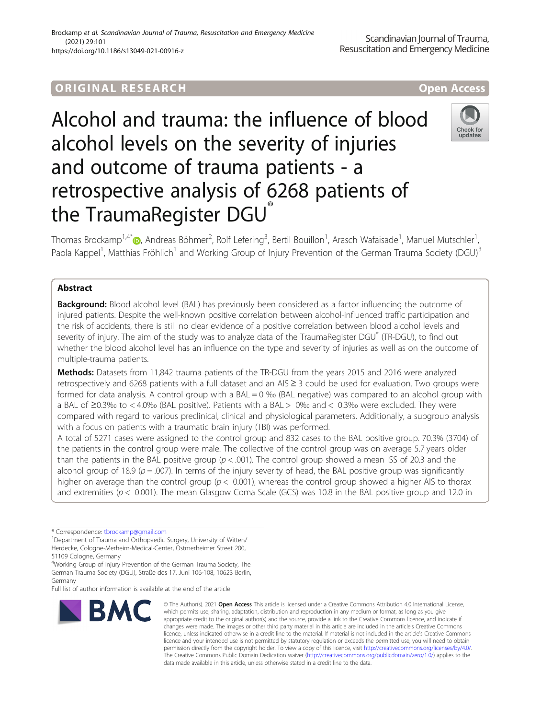## ORIGINA L R E S EA RCH Open Access

# Alcohol and trauma: the influence of blood alcohol levels on the severity of injuries and outcome of trauma patients - a retrospective analysis of 6268 patients of the TraumaRegister DGU®



Thomas Brockamp<sup>1,4[\\*](http://orcid.org/0000-0001-5977-6856)</sup>®, Andreas Böhmer<sup>2</sup>, Rolf Lefering<sup>3</sup>, Bertil Bouillon<sup>1</sup>, Arasch Wafaisade<sup>1</sup>, Manuel Mutschler<sup>1</sup> , Paola Kappel<sup>1</sup>, Matthias Fröhlich<sup>1</sup> and Working Group of Injury Prevention of the German Trauma Society (DGU)<sup>3</sup>

### Abstract

**Background:** Blood alcohol level (BAL) has previously been considered as a factor influencing the outcome of injured patients. Despite the well-known positive correlation between alcohol-influenced traffic participation and the risk of accidents, there is still no clear evidence of a positive correlation between blood alcohol levels and severity of injury. The aim of the study was to analyze data of the TraumaRegister DGU® (TR-DGU), to find out whether the blood alcohol level has an influence on the type and severity of injuries as well as on the outcome of multiple-trauma patients.

Methods: Datasets from 11,842 trauma patients of the TR-DGU from the years 2015 and 2016 were analyzed retrospectively and 6268 patients with a full dataset and an AIS ≥ 3 could be used for evaluation. Two groups were formed for data analysis. A control group with a BAL = 0 ‰ (BAL negative) was compared to an alcohol group with a BAL of ≥0.3‰ to < 4.0‰ (BAL positive). Patients with a BAL > 0‰ and < 0.3‰ were excluded. They were compared with regard to various preclinical, clinical and physiological parameters. Additionally, a subgroup analysis with a focus on patients with a traumatic brain injury (TBI) was performed.

A total of 5271 cases were assigned to the control group and 832 cases to the BAL positive group. 70.3% (3704) of the patients in the control group were male. The collective of the control group was on average 5.7 years older than the patients in the BAL positive group  $(p < .001)$ . The control group showed a mean ISS of 20.3 and the alcohol group of 18.9 ( $p = .007$ ). In terms of the injury severity of head, the BAL positive group was significantly higher on average than the control group ( $p < 0.001$ ), whereas the control group showed a higher AIS to thorax and extremities ( $p < 0.001$ ). The mean Glasgow Coma Scale (GCS) was 10.8 in the BAL positive group and 12.0 in

\* Correspondence: [tbrockamp@gmail.com](mailto:tbrockamp@gmail.com) <sup>1</sup>

Department of Trauma and Orthopaedic Surgery, University of Witten/ Herdecke, Cologne-Merheim-Medical-Center, Ostmerheimer Street 200, 51109 Cologne, Germany

4 Working Group of Injury Prevention of the German Trauma Society, The German Trauma Society (DGU), Straße des 17. Juni 106-108, 10623 Berlin, Germany

Full list of author information is available at the end of the article



© The Author(s), 2021 **Open Access** This article is licensed under a Creative Commons Attribution 4.0 International License, which permits use, sharing, adaptation, distribution and reproduction in any medium or format, as long as you give appropriate credit to the original author(s) and the source, provide a link to the Creative Commons licence, and indicate if changes were made. The images or other third party material in this article are included in the article's Creative Commons licence, unless indicated otherwise in a credit line to the material. If material is not included in the article's Creative Commons licence and your intended use is not permitted by statutory regulation or exceeds the permitted use, you will need to obtain permission directly from the copyright holder. To view a copy of this licence, visit [http://creativecommons.org/licenses/by/4.0/.](http://creativecommons.org/licenses/by/4.0/) The Creative Commons Public Domain Dedication waiver [\(http://creativecommons.org/publicdomain/zero/1.0/](http://creativecommons.org/publicdomain/zero/1.0/)) applies to the data made available in this article, unless otherwise stated in a credit line to the data.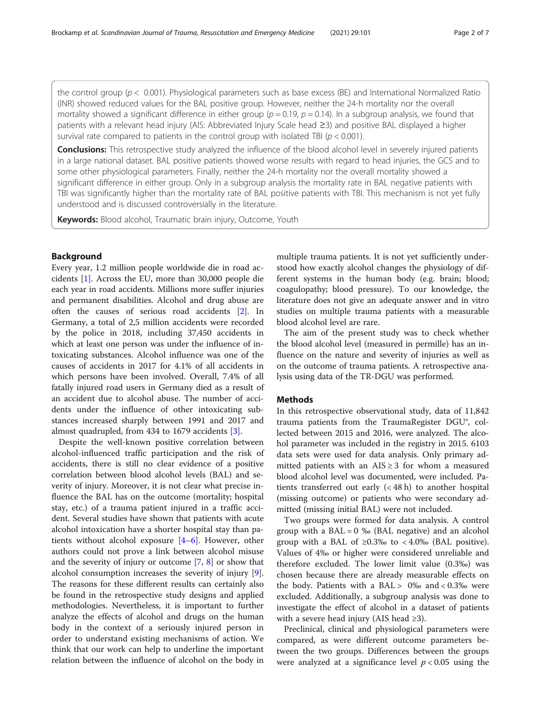Conclusions: This retrospective study analyzed the influence of the blood alcohol level in severely injured patients in a large national dataset. BAL positive patients showed worse results with regard to head injuries, the GCS and to some other physiological parameters. Finally, neither the 24-h mortality nor the overall mortality showed a significant difference in either group. Only in a subgroup analysis the mortality rate in BAL negative patients with TBI was significantly higher than the mortality rate of BAL positive patients with TBI. This mechanism is not yet fully understood and is discussed controversially in the literature.

**Keywords:** Blood alcohol, Traumatic brain injury, Outcome, Youth

#### Background

Every year, 1.2 million people worldwide die in road accidents [\[1](#page-6-0)]. Across the EU, more than 30,000 people die each year in road accidents. Millions more suffer injuries and permanent disabilities. Alcohol and drug abuse are often the causes of serious road accidents [\[2](#page-6-0)]. In Germany, a total of 2,5 million accidents were recorded by the police in 2018, including 37,450 accidents in which at least one person was under the influence of intoxicating substances. Alcohol influence was one of the causes of accidents in 2017 for 4.1% of all accidents in which persons have been involved. Overall, 7.4% of all fatally injured road users in Germany died as a result of an accident due to alcohol abuse. The number of accidents under the influence of other intoxicating substances increased sharply between 1991 and 2017 and almost quadrupled, from 434 to 1679 accidents [[3](#page-6-0)].

Despite the well-known positive correlation between alcohol-influenced traffic participation and the risk of accidents, there is still no clear evidence of a positive correlation between blood alcohol levels (BAL) and severity of injury. Moreover, it is not clear what precise influence the BAL has on the outcome (mortality; hospital stay, etc.) of a trauma patient injured in a traffic accident. Several studies have shown that patients with acute alcohol intoxication have a shorter hospital stay than patients without alcohol exposure [\[4](#page-6-0)–[6](#page-6-0)]. However, other authors could not prove a link between alcohol misuse and the severity of injury or outcome [[7,](#page-6-0) [8](#page-6-0)] or show that alcohol consumption increases the severity of injury [\[9](#page-6-0)]. The reasons for these different results can certainly also be found in the retrospective study designs and applied methodologies. Nevertheless, it is important to further analyze the effects of alcohol and drugs on the human body in the context of a seriously injured person in order to understand existing mechanisms of action. We think that our work can help to underline the important relation between the influence of alcohol on the body in

multiple trauma patients. It is not yet sufficiently understood how exactly alcohol changes the physiology of different systems in the human body (e.g. brain; blood; coagulopathy; blood pressure). To our knowledge, the literature does not give an adequate answer and in vitro studies on multiple trauma patients with a measurable blood alcohol level are rare.

The aim of the present study was to check whether the blood alcohol level (measured in permille) has an influence on the nature and severity of injuries as well as on the outcome of trauma patients. A retrospective analysis using data of the TR-DGU was performed.

#### Methods

In this retrospective observational study, data of 11,842 trauma patients from the TraumaRegister DGU®, collected between 2015 and 2016, were analyzed. The alcohol parameter was included in the registry in 2015. 6103 data sets were used for data analysis. Only primary admitted patients with an  $AIS \geq 3$  for whom a measured blood alcohol level was documented, were included. Patients transferred out early (< 48 h) to another hospital (missing outcome) or patients who were secondary admitted (missing initial BAL) were not included.

Two groups were formed for data analysis. A control group with a  $BAL = 0$  ‰ ( $BAL$  negative) and an alcohol group with a BAL of  $\geq 0.3\%$  to < 4.0% (BAL positive). Values of 4‰ or higher were considered unreliable and therefore excluded. The lower limit value (0.3‰) was chosen because there are already measurable effects on the body. Patients with a  $BAL > 0%$  and  $< 0.3%$  were excluded. Additionally, a subgroup analysis was done to investigate the effect of alcohol in a dataset of patients with a severe head injury (AIS head  $\geq 3$ ).

Preclinical, clinical and physiological parameters were compared, as were different outcome parameters between the two groups. Differences between the groups were analyzed at a significance level  $p < 0.05$  using the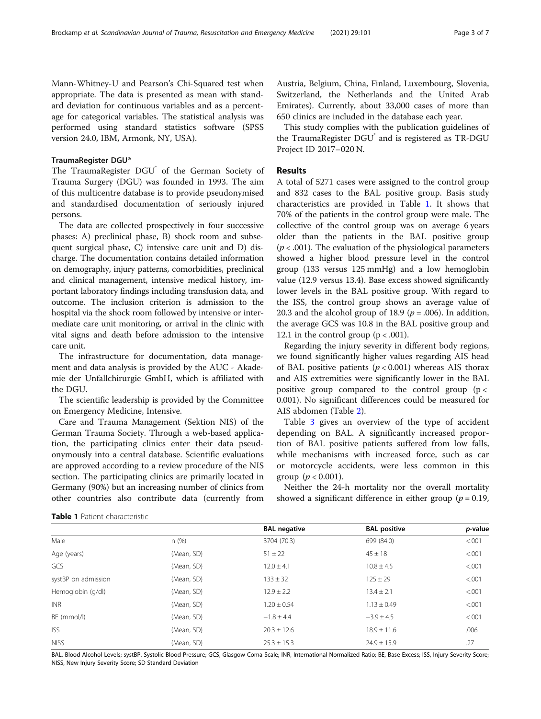Mann-Whitney-U and Pearson's Chi-Squared test when appropriate. The data is presented as mean with standard deviation for continuous variables and as a percentage for categorical variables. The statistical analysis was performed using standard statistics software (SPSS version 24.0, IBM, Armonk, NY, USA).

#### TraumaRegister DGU®

The TraumaRegister DGU<sup>®</sup> of the German Society of Trauma Surgery (DGU) was founded in 1993. The aim of this multicentre database is to provide pseudonymised and standardised documentation of seriously injured persons.

The data are collected prospectively in four successive phases: A) preclinical phase, B) shock room and subsequent surgical phase, C) intensive care unit and D) discharge. The documentation contains detailed information on demography, injury patterns, comorbidities, preclinical and clinical management, intensive medical history, important laboratory findings including transfusion data, and outcome. The inclusion criterion is admission to the hospital via the shock room followed by intensive or intermediate care unit monitoring, or arrival in the clinic with vital signs and death before admission to the intensive care unit.

The infrastructure for documentation, data management and data analysis is provided by the AUC - Akademie der Unfallchirurgie GmbH, which is affiliated with the DGU.

The scientific leadership is provided by the Committee on Emergency Medicine, Intensive.

Care and Trauma Management (Sektion NIS) of the German Trauma Society. Through a web-based application, the participating clinics enter their data pseudonymously into a central database. Scientific evaluations are approved according to a review procedure of the NIS section. The participating clinics are primarily located in Germany (90%) but an increasing number of clinics from other countries also contribute data (currently from Austria, Belgium, China, Finland, Luxembourg, Slovenia, Switzerland, the Netherlands and the United Arab Emirates). Currently, about 33,000 cases of more than 650 clinics are included in the database each year.

This study complies with the publication guidelines of the TraumaRegister DGU<sup>®</sup> and is registered as TR-DGU Project ID 2017–020 N.

#### Results

A total of 5271 cases were assigned to the control group and 832 cases to the BAL positive group. Basis study characteristics are provided in Table 1. It shows that 70% of the patients in the control group were male. The collective of the control group was on average 6 years older than the patients in the BAL positive group  $(p < .001)$ . The evaluation of the physiological parameters showed a higher blood pressure level in the control group (133 versus 125 mmHg) and a low hemoglobin value (12.9 versus 13.4). Base excess showed significantly lower levels in the BAL positive group. With regard to the ISS, the control group shows an average value of 20.3 and the alcohol group of 18.9 ( $p = .006$ ). In addition, the average GCS was 10.8 in the BAL positive group and 12.1 in the control group  $(p < .001)$ .

Regarding the injury severity in different body regions, we found significantly higher values regarding AIS head of BAL positive patients  $(p < 0.001)$  whereas AIS thorax and AIS extremities were significantly lower in the BAL positive group compared to the control group  $(p <$ 0.001). No significant differences could be measured for AIS abdomen (Table [2\)](#page-3-0).

Table [3](#page-3-0) gives an overview of the type of accident depending on BAL. A significantly increased proportion of BAL positive patients suffered from low falls, while mechanisms with increased force, such as car or motorcycle accidents, were less common in this group ( $p < 0.001$ ).

Neither the 24-h mortality nor the overall mortality showed a significant difference in either group ( $p = 0.19$ ,

Table 1 Patient characteristic

|                     |            | <b>BAL negative</b> | <b>BAL positive</b> | p-value |
|---------------------|------------|---------------------|---------------------|---------|
| Male                | n(%)       | 3704 (70.3)         | 699 (84.0)          | < .001  |
| Age (years)         | (Mean, SD) | $51 \pm 22$         | $45 \pm 18$         | < 0.001 |
| GCS                 | (Mean, SD) | $12.0 \pm 4.1$      | $10.8 \pm 4.5$      | < .001  |
| systBP on admission | (Mean, SD) | $133 \pm 32$        | $125 \pm 29$        | < .001  |
| Hemoglobin (g/dl)   | (Mean, SD) | $12.9 \pm 2.2$      | $13.4 \pm 2.1$      | < .001  |
| <b>INR</b>          | (Mean, SD) | $1.20 \pm 0.54$     | $1.13 \pm 0.49$     | < .001  |
| BE (mmol/l)         | (Mean, SD) | $-1.8 \pm 4.4$      | $-3.9 \pm 4.5$      | < .001  |
| <b>ISS</b>          | (Mean, SD) | $20.3 \pm 12.6$     | $18.9 \pm 11.6$     | .006    |
| <b>NISS</b>         | (Mean, SD) | $25.3 \pm 15.3$     | $24.9 \pm 15.9$     | .27     |

BAL, Blood Alcohol Levels; systBP, Systolic Blood Pressure; GCS, Glasgow Coma Scale; INR, International Normalized Ratio; BE, Base Excess; ISS, Injury Severity Score; NISS, New Injury Severity Score; SD Standard Deviation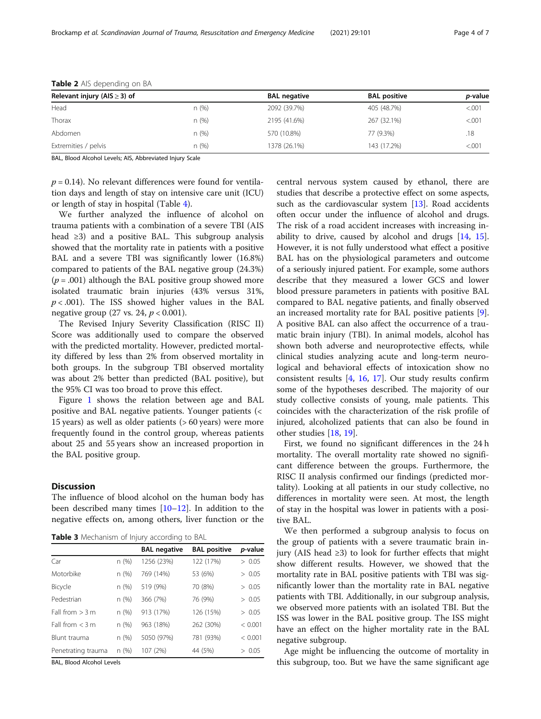| Relevant injury (AIS $\geq$ 3) of |       | <b>BAL negative</b> | <b>BAL positive</b> | <i>p</i> -value |
|-----------------------------------|-------|---------------------|---------------------|-----------------|
| Head                              | n(%)  | 2092 (39.7%)        | 405 (48.7%)         | < 0.001         |
| Thorax                            | n(%)  | 2195 (41.6%)        | 267 (32.1%)         | < 0.001         |
| Abdomen                           | n(%)  | 570 (10.8%)         | 77 (9.3%)           | .18             |
| Extremities / pelvis              | n (%) | 1378 (26.1%)        | 143 (17.2%)         | < 0.001         |

<span id="page-3-0"></span>Table 2 AIS depending on BA

BAL, Blood Alcohol Levels; AIS, Abbreviated Injury Scale

 $p = 0.14$ ). No relevant differences were found for ventilation days and length of stay on intensive care unit (ICU) or length of stay in hospital (Table [4\)](#page-4-0).

We further analyzed the influence of alcohol on trauma patients with a combination of a severe TBI (AIS head ≥3) and a positive BAL. This subgroup analysis showed that the mortality rate in patients with a positive BAL and a severe TBI was significantly lower (16.8%) compared to patients of the BAL negative group (24.3%)  $(p = .001)$  although the BAL positive group showed more isolated traumatic brain injuries (43% versus 31%,  $p < .001$ ). The ISS showed higher values in the BAL negative group (27 vs. 24,  $p < 0.001$ ).

The Revised Injury Severity Classification (RISC II) Score was additionally used to compare the observed with the predicted mortality. However, predicted mortality differed by less than 2% from observed mortality in both groups. In the subgroup TBI observed mortality was about 2% better than predicted (BAL positive), but the 95% CI was too broad to prove this effect.

Figure [1](#page-4-0) shows the relation between age and BAL positive and BAL negative patients. Younger patients (< 15 years) as well as older patients (> 60 years) were more frequently found in the control group, whereas patients about 25 and 55 years show an increased proportion in the BAL positive group.

#### **Discussion**

The influence of blood alcohol on the human body has been described many times [\[10](#page-6-0)–[12\]](#page-6-0). In addition to the negative effects on, among others, liver function or the

Table 3 Mechanism of Injury according to BAL

|                    |      | <b>BAL negative</b> | <b>BAL positive</b> | p-value |
|--------------------|------|---------------------|---------------------|---------|
| Car                | n(%) | 1256 (23%)          | 122 (17%)           | > 0.05  |
| Motorbike          | n(%) | 769 (14%)           | 53 (6%)             | > 0.05  |
| Bicycle            | n(%) | 519 (9%)            | 70 (8%)             | > 0.05  |
| Pedestrian         | n(%) | 366 (7%)            | 76 (9%)             | > 0.05  |
| Fall from $> 3m$   | n(%) | 913 (17%)           | 126 (15%)           | > 0.05  |
| Fall from $<$ 3 m  | n(%) | 963 (18%)           | 262 (30%)           | < 0.001 |
| Blunt trauma       | n(%) | 5050 (97%)          | 781 (93%)           | < 0.001 |
| Penetrating trauma | n(%) | 107 (2%)            | 44 (5%)             | > 0.05  |

BAL, Blood Alcohol Levels

central nervous system caused by ethanol, there are studies that describe a protective effect on some aspects, such as the cardiovascular system [\[13\]](#page-6-0). Road accidents often occur under the influence of alcohol and drugs. The risk of a road accident increases with increasing inability to drive, caused by alcohol and drugs  $[14, 15]$  $[14, 15]$  $[14, 15]$  $[14, 15]$  $[14, 15]$ . However, it is not fully understood what effect a positive BAL has on the physiological parameters and outcome of a seriously injured patient. For example, some authors describe that they measured a lower GCS and lower blood pressure parameters in patients with positive BAL compared to BAL negative patients, and finally observed an increased mortality rate for BAL positive patients [\[9](#page-6-0)]. A positive BAL can also affect the occurrence of a traumatic brain injury (TBI). In animal models, alcohol has shown both adverse and neuroprotective effects, while clinical studies analyzing acute and long-term neurological and behavioral effects of intoxication show no consistent results [[4,](#page-6-0) [16](#page-6-0), [17](#page-6-0)]. Our study results confirm some of the hypotheses described. The majority of our study collective consists of young, male patients. This coincides with the characterization of the risk profile of injured, alcoholized patients that can also be found in other studies [[18](#page-6-0), [19](#page-6-0)].

First, we found no significant differences in the 24 h mortality. The overall mortality rate showed no significant difference between the groups. Furthermore, the RISC II analysis confirmed our findings (predicted mortality). Looking at all patients in our study collective, no differences in mortality were seen. At most, the length of stay in the hospital was lower in patients with a positive BAL.

We then performed a subgroup analysis to focus on the group of patients with a severe traumatic brain injury (AIS head ≥3) to look for further effects that might show different results. However, we showed that the mortality rate in BAL positive patients with TBI was significantly lower than the mortality rate in BAL negative patients with TBI. Additionally, in our subgroup analysis, we observed more patients with an isolated TBI. But the ISS was lower in the BAL positive group. The ISS might have an effect on the higher mortality rate in the BAL negative subgroup.

Age might be influencing the outcome of mortality in this subgroup, too. But we have the same significant age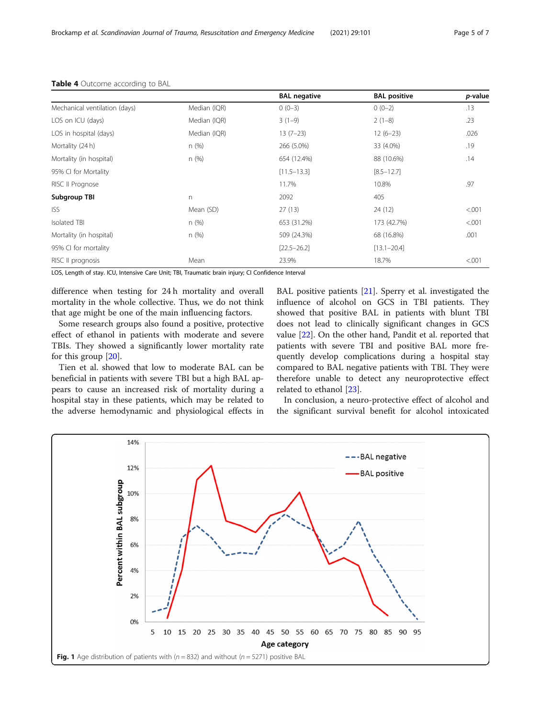|                               |              | <b>BAL negative</b> | <b>BAL positive</b> | p-value |
|-------------------------------|--------------|---------------------|---------------------|---------|
| Mechanical ventilation (days) | Median (IQR) | $0(0-3)$            | $0(0-2)$            | .13     |
| LOS on ICU (days)             | Median (IQR) | $3(1-9)$            | $2(1-8)$            | .23     |
| LOS in hospital (days)        | Median (IQR) | $13(7-23)$          | $12(6-23)$          | .026    |
| Mortality (24 h)              | n(%)         | 266 (5.0%)          | 33 (4.0%)           | .19     |
| Mortality (in hospital)       | n(%)         | 654 (12.4%)         | 88 (10.6%)          | .14     |
| 95% CI for Mortality          |              | $[11.5 - 13.3]$     | $[8.5 - 12.7]$      |         |
| RISC II Prognose              |              | 11.7%               | 10.8%               | .97     |
| Subgroup TBI                  | n.           | 2092                | 405                 |         |
| <b>ISS</b>                    | Mean (SD)    | 27(13)              | 24(12)              | < .001  |
| Isolated TBI                  | n(%)         | 653 (31.2%)         | 173 (42.7%)         | < .001  |
| Mortality (in hospital)       | n(%)         | 509 (24.3%)         | 68 (16.8%)          | .001    |
| 95% CI for mortality          |              | $[22.5 - 26.2]$     | $[13.1 - 20.4]$     |         |
| RISC II prognosis             | Mean         | 23.9%               | 18.7%               | < .001  |

#### <span id="page-4-0"></span>Table 4 Outcome according to BAL

LOS, Length of stay. ICU, Intensive Care Unit; TBI, Traumatic brain injury; CI Confidence Interval

difference when testing for 24 h mortality and overall mortality in the whole collective. Thus, we do not think that age might be one of the main influencing factors.

Some research groups also found a positive, protective effect of ethanol in patients with moderate and severe TBIs. They showed a significantly lower mortality rate for this group [\[20](#page-6-0)].

Tien et al. showed that low to moderate BAL can be beneficial in patients with severe TBI but a high BAL appears to cause an increased risk of mortality during a hospital stay in these patients, which may be related to the adverse hemodynamic and physiological effects in

BAL positive patients [[21\]](#page-6-0). Sperry et al. investigated the influence of alcohol on GCS in TBI patients. They showed that positive BAL in patients with blunt TBI does not lead to clinically significant changes in GCS value [\[22\]](#page-6-0). On the other hand, Pandit et al. reported that patients with severe TBI and positive BAL more frequently develop complications during a hospital stay compared to BAL negative patients with TBI. They were therefore unable to detect any neuroprotective effect related to ethanol [\[23\]](#page-6-0).

In conclusion, a neuro-protective effect of alcohol and the significant survival benefit for alcohol intoxicated

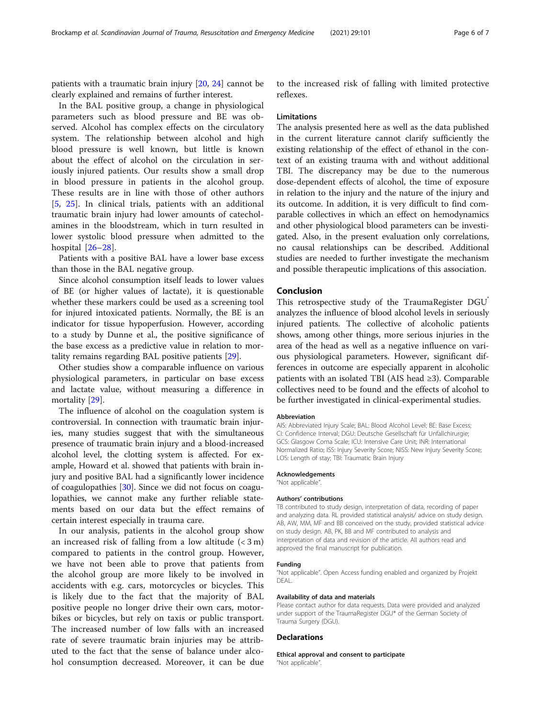patients with a traumatic brain injury [\[20](#page-6-0), [24](#page-6-0)] cannot be clearly explained and remains of further interest.

In the BAL positive group, a change in physiological parameters such as blood pressure and BE was observed. Alcohol has complex effects on the circulatory system. The relationship between alcohol and high blood pressure is well known, but little is known about the effect of alcohol on the circulation in seriously injured patients. Our results show a small drop in blood pressure in patients in the alcohol group. These results are in line with those of other authors [[5,](#page-6-0) [25\]](#page-6-0). In clinical trials, patients with an additional traumatic brain injury had lower amounts of catecholamines in the bloodstream, which in turn resulted in lower systolic blood pressure when admitted to the hospital [[26](#page-6-0)–[28\]](#page-6-0).

Patients with a positive BAL have a lower base excess than those in the BAL negative group.

Since alcohol consumption itself leads to lower values of BE (or higher values of lactate), it is questionable whether these markers could be used as a screening tool for injured intoxicated patients. Normally, the BE is an indicator for tissue hypoperfusion. However, according to a study by Dunne et al., the positive significance of the base excess as a predictive value in relation to mortality remains regarding BAL positive patients [[29](#page-6-0)].

Other studies show a comparable influence on various physiological parameters, in particular on base excess and lactate value, without measuring a difference in mortality [[29\]](#page-6-0).

The influence of alcohol on the coagulation system is controversial. In connection with traumatic brain injuries, many studies suggest that with the simultaneous presence of traumatic brain injury and a blood-increased alcohol level, the clotting system is affected. For example, Howard et al. showed that patients with brain injury and positive BAL had a significantly lower incidence of coagulopathies [\[30](#page-6-0)]. Since we did not focus on coagulopathies, we cannot make any further reliable statements based on our data but the effect remains of certain interest especially in trauma care.

In our analysis, patients in the alcohol group show an increased risk of falling from a low altitude  $(< 3 m)$ compared to patients in the control group. However, we have not been able to prove that patients from the alcohol group are more likely to be involved in accidents with e.g. cars, motorcycles or bicycles. This is likely due to the fact that the majority of BAL positive people no longer drive their own cars, motorbikes or bicycles, but rely on taxis or public transport. The increased number of low falls with an increased rate of severe traumatic brain injuries may be attributed to the fact that the sense of balance under alcohol consumption decreased. Moreover, it can be due

to the increased risk of falling with limited protective reflexes.

#### Limitations

The analysis presented here as well as the data published in the current literature cannot clarify sufficiently the existing relationship of the effect of ethanol in the context of an existing trauma with and without additional TBI. The discrepancy may be due to the numerous dose-dependent effects of alcohol, the time of exposure in relation to the injury and the nature of the injury and its outcome. In addition, it is very difficult to find comparable collectives in which an effect on hemodynamics and other physiological blood parameters can be investigated. Also, in the present evaluation only correlations, no causal relationships can be described. Additional studies are needed to further investigate the mechanism and possible therapeutic implications of this association.

#### Conclusion

This retrospective study of the TraumaRegister DGU® analyzes the influence of blood alcohol levels in seriously injured patients. The collective of alcoholic patients shows, among other things, more serious injuries in the area of the head as well as a negative influence on various physiological parameters. However, significant differences in outcome are especially apparent in alcoholic patients with an isolated TBI (AIS head ≥3). Comparable collectives need to be found and the effects of alcohol to be further investigated in clinical-experimental studies.

#### Abbreviation

AIS: Abbreviated Injury Scale; BAL: Blood Alcohol Level; BE: Base Excess; CI: Confidence Interval; DGU: Deutsche Gesellschaft für Unfallchirurgie; GCS: Glasgow Coma Scale; ICU: Intensive Care Unit; INR: International Normalized Ratio; ISS: Injury Severity Score; NISS: New Injury Severity Score; LOS: Length of stay; TBI: Traumatic Brain Injury

#### Acknowledgements

"Not applicable".

#### Authors' contributions

TB contributed to study design, interpretation of data, recording of paper and analyzing data. RL provided statistical analysis/ advice on study design. AB, AW, MM, MF and BB conceived on the study, provided statistical advice on study design. AB, PK, BB and MF contributed to analysis and interpretation of data and revision of the article. All authors read and approved the final manuscript for publication.

#### Funding

"Not applicable". Open Access funding enabled and organized by Projekt DEAL.

#### Availability of data and materials

Please contact author for data requests. Data were provided and analyzed under support of the TraumaRegister DGU® of the German Society of Trauma Surgery (DGU).

#### **Declarations**

Ethical approval and consent to participate "Not applicable".